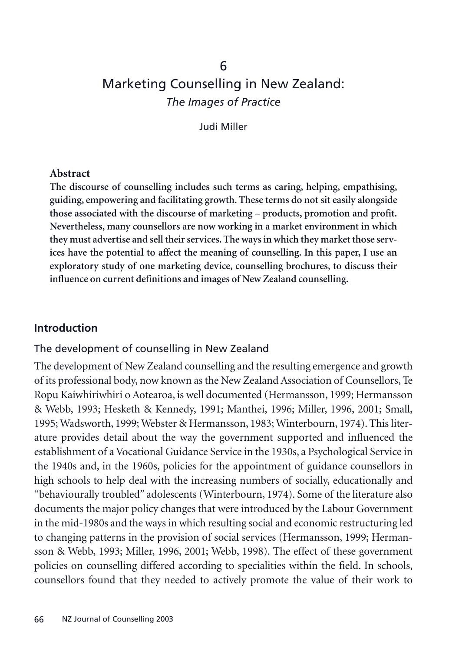# 6 Marketing Counselling in New Zealand: *The Images of Practice*

Judi Miller

#### **Abstract**

**The discourse of counselling includes such terms as caring, helping, empathising, guiding, empowering and facilitating growth. These terms do not sit easily alongside those associated with the discourse of marketing – products, promotion and profit. Nevertheless, many counsellors are now working in a market environment in which they must advertise and sell their services. The ways in which they market those services have the potential to affect the meaning of counselling. In this paper, I use an exploratory study of one marketing device, counselling brochures, to discuss their influence on current definitions and images of New Zealand counselling.**

### **Introduction**

### The development of counselling in New Zealand

The development of New Zealand counselling and the resulting emergence and growth of its professional body, now known as the New Zealand Association of Counsellors, Te Ropu Kaiwhiriwhiri o Aotearoa, is well documented (Hermansson, 1999; Hermansson & Webb, 1993; Hesketh & Kennedy, 1991; Manthei, 1996; Miller, 1996, 2001; Small, 1995; Wadsworth, 1999; Webster & Hermansson, 1983; Winterbourn, 1974). This literature provides detail about the way the government supported and influenced the establishment of a Vocational Guidance Service in the 1930s, a Psychological Service in the 1940s and, in the 1960s, policies for the appointment of guidance counsellors in high schools to help deal with the increasing numbers of socially, educationally and "behaviourally troubled" adolescents (Winterbourn, 1974). Some of the literature also documents the major policy changes that were introduced by the Labour Government in the mid-1980s and the ways in which resulting social and economic restructuring led to changing patterns in the provision of social services (Hermansson, 1999; Hermansson & Webb, 1993; Miller, 1996, 2001; Webb, 1998). The effect of these government policies on counselling differed according to specialities within the field. In schools, counsellors found that they needed to actively promote the value of their work to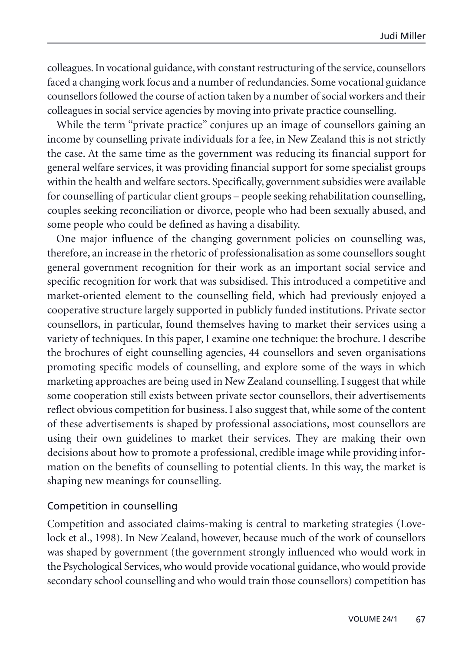colleagues. In vocational guidance, with constant restructuring of the service, counsellors faced a changing work focus and a number of redundancies. Some vocational guidance counsellors followed the course of action taken by a number of social workers and their colleagues in social service agencies by moving into private practice counselling.

While the term "private practice" conjures up an image of counsellors gaining an income by counselling private individuals for a fee, in New Zealand this is not strictly the case. At the same time as the government was reducing its financial support for general welfare services, it was providing financial support for some specialist groups within the health and welfare sectors. Specifically, government subsidies were available for counselling of particular client groups – people seeking rehabilitation counselling, couples seeking reconciliation or divorce, people who had been sexually abused, and some people who could be defined as having a disability.

One major influence of the changing government policies on counselling was, therefore, an increase in the rhetoric of professionalisation as some counsellors sought general government recognition for their work as an important social service and specific recognition for work that was subsidised. This introduced a competitive and market-oriented element to the counselling field, which had previously enjoyed a cooperative structure largely supported in publicly funded institutions. Private sector counsellors, in particular, found themselves having to market their services using a variety of techniques. In this paper, I examine one technique: the brochure. I describe the brochures of eight counselling agencies, 44 counsellors and seven organisations promoting specific models of counselling, and explore some of the ways in which marketing approaches are being used in New Zealand counselling. I suggest that while some cooperation still exists between private sector counsellors, their advertisements reflect obvious competition for business. I also suggest that, while some of the content of these advertisements is shaped by professional associations, most counsellors are using their own guidelines to market their services. They are making their own decisions about how to promote a professional, credible image while providing information on the benefits of counselling to potential clients. In this way, the market is shaping new meanings for counselling.

### Competition in counselling

Competition and associated claims-making is central to marketing strategies (Lovelock et al., 1998). In New Zealand, however, because much of the work of counsellors was shaped by government (the government strongly influenced who would work in the Psychological Services, who would provide vocational guidance, who would provide secondary school counselling and who would train those counsellors) competition has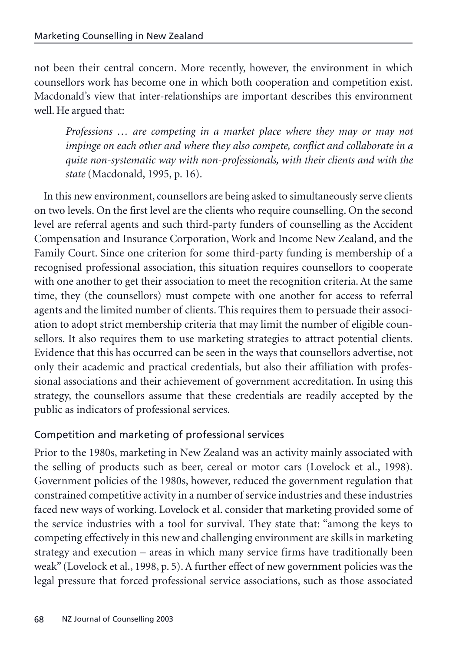not been their central concern. More recently, however, the environment in which counsellors work has become one in which both cooperation and competition exist. Macdonald's view that inter-relationships are important describes this environment well. He argued that:

*Professions … are competing in a market place where they may or may not impinge on each other and where they also compete, conflict and collaborate in a quite non-systematic way with non-professionals, with their clients and with the state* (Macdonald, 1995, p. 16).

In this new environment, counsellors are being asked to simultaneously serve clients on two levels. On the first level are the clients who require counselling. On the second level are referral agents and such third-party funders of counselling as the Accident Compensation and Insurance Corporation, Work and Income New Zealand, and the Family Court. Since one criterion for some third-party funding is membership of a recognised professional association, this situation requires counsellors to cooperate with one another to get their association to meet the recognition criteria. At the same time, they (the counsellors) must compete with one another for access to referral agents and the limited number of clients. This requires them to persuade their association to adopt strict membership criteria that may limit the number of eligible counsellors. It also requires them to use marketing strategies to attract potential clients. Evidence that this has occurred can be seen in the ways that counsellors advertise, not only their academic and practical credentials, but also their affiliation with professional associations and their achievement of government accreditation. In using this strategy, the counsellors assume that these credentials are readily accepted by the public as indicators of professional services.

## Competition and marketing of professional services

Prior to the 1980s, marketing in New Zealand was an activity mainly associated with the selling of products such as beer, cereal or motor cars (Lovelock et al., 1998). Government policies of the 1980s, however, reduced the government regulation that constrained competitive activity in a number of service industries and these industries faced new ways of working. Lovelock et al. consider that marketing provided some of the service industries with a tool for survival. They state that: "among the keys to competing effectively in this new and challenging environment are skills in marketing strategy and execution – areas in which many service firms have traditionally been weak" (Lovelock et al., 1998, p. 5). A further effect of new government policies was the legal pressure that forced professional service associations, such as those associated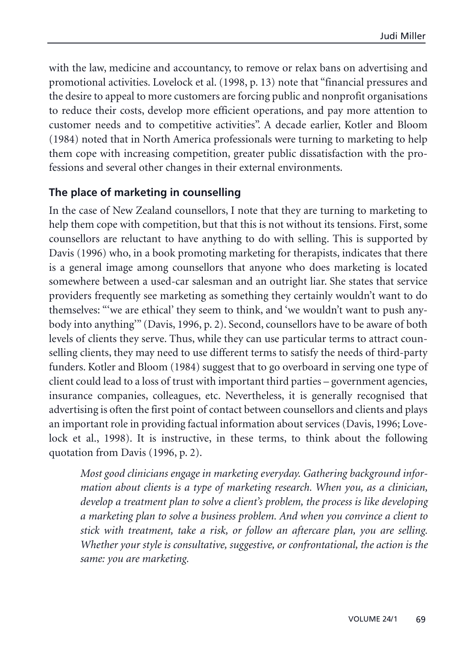with the law, medicine and accountancy, to remove or relax bans on advertising and promotional activities. Lovelock et al. (1998, p. 13) note that "financial pressures and the desire to appeal to more customers are forcing public and nonprofit organisations to reduce their costs, develop more efficient operations, and pay more attention to customer needs and to competitive activities". A decade earlier, Kotler and Bloom (1984) noted that in North America professionals were turning to marketing to help them cope with increasing competition, greater public dissatisfaction with the professions and several other changes in their external environments.

### **The place of marketing in counselling**

In the case of New Zealand counsellors, I note that they are turning to marketing to help them cope with competition, but that this is not without its tensions. First, some counsellors are reluctant to have anything to do with selling. This is supported by Davis (1996) who, in a book promoting marketing for therapists, indicates that there is a general image among counsellors that anyone who does marketing is located somewhere between a used-car salesman and an outright liar. She states that service providers frequently see marketing as something they certainly wouldn't want to do themselves: "'we are ethical' they seem to think, and 'we wouldn't want to push anybody into anything'" (Davis, 1996, p. 2). Second, counsellors have to be aware of both levels of clients they serve. Thus, while they can use particular terms to attract counselling clients, they may need to use different terms to satisfy the needs of third-party funders. Kotler and Bloom (1984) suggest that to go overboard in serving one type of client could lead to a loss of trust with important third parties – government agencies, insurance companies, colleagues, etc. Nevertheless, it is generally recognised that advertising is often the first point of contact between counsellors and clients and plays an important role in providing factual information about services (Davis, 1996; Lovelock et al., 1998). It is instructive, in these terms, to think about the following quotation from Davis (1996, p. 2).

*Most good clinicians engage in marketing everyday. Gathering background information about clients is a type of marketing research. When you, as a clinician, develop a treatment plan to solve a client's problem, the process is like developing a marketing plan to solve a business problem. And when you convince a client to stick with treatment, take a risk, or follow an aftercare plan, you are selling. Whether your style is consultative, suggestive, or confrontational, the action is the same: you are marketing.*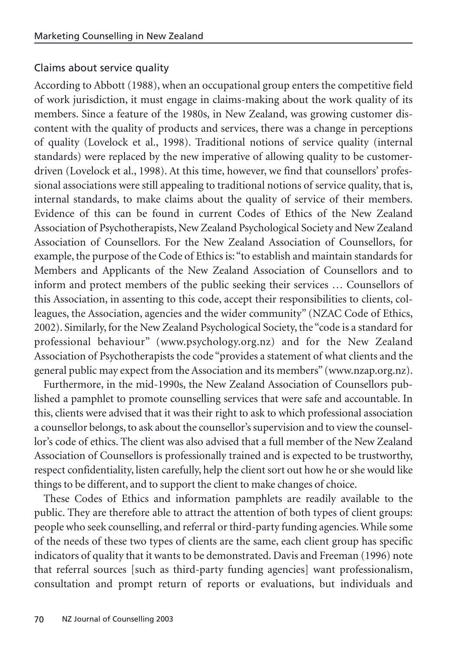### Claims about service quality

According to Abbott (1988), when an occupational group enters the competitive field of work jurisdiction, it must engage in claims-making about the work quality of its members. Since a feature of the 1980s, in New Zealand, was growing customer discontent with the quality of products and services, there was a change in perceptions of quality (Lovelock et al., 1998). Traditional notions of service quality (internal standards) were replaced by the new imperative of allowing quality to be customerdriven (Lovelock et al., 1998). At this time, however, we find that counsellors' professional associations were still appealing to traditional notions of service quality, that is, internal standards, to make claims about the quality of service of their members. Evidence of this can be found in current Codes of Ethics of the New Zealand Association of Psychotherapists, New Zealand Psychological Society and New Zealand Association of Counsellors. For the New Zealand Association of Counsellors, for example, the purpose of the Code of Ethics is: "to establish and maintain standards for Members and Applicants of the New Zealand Association of Counsellors and to inform and protect members of the public seeking their services … Counsellors of this Association, in assenting to this code, accept their responsibilities to clients, colleagues, the Association, agencies and the wider community" (NZAC Code of Ethics, 2002). Similarly, for the New Zealand Psychological Society, the "code is a standard for professional behaviour" (www.psychology.org.nz) and for the New Zealand Association of Psychotherapists the code "provides a statement of what clients and the general public may expect from the Association and its members" (www.nzap.org.nz).

Furthermore, in the mid-1990s, the New Zealand Association of Counsellors published a pamphlet to promote counselling services that were safe and accountable. In this, clients were advised that it was their right to ask to which professional association a counsellor belongs, to ask about the counsellor's supervision and to view the counsellor's code of ethics. The client was also advised that a full member of the New Zealand Association of Counsellors is professionally trained and is expected to be trustworthy, respect confidentiality, listen carefully, help the client sort out how he or she would like things to be different, and to support the client to make changes of choice.

These Codes of Ethics and information pamphlets are readily available to the public. They are therefore able to attract the attention of both types of client groups: people who seek counselling, and referral or third-party funding agencies. While some of the needs of these two types of clients are the same, each client group has specific indicators of quality that it wants to be demonstrated. Davis and Freeman (1996) note that referral sources [such as third-party funding agencies] want professionalism, consultation and prompt return of reports or evaluations, but individuals and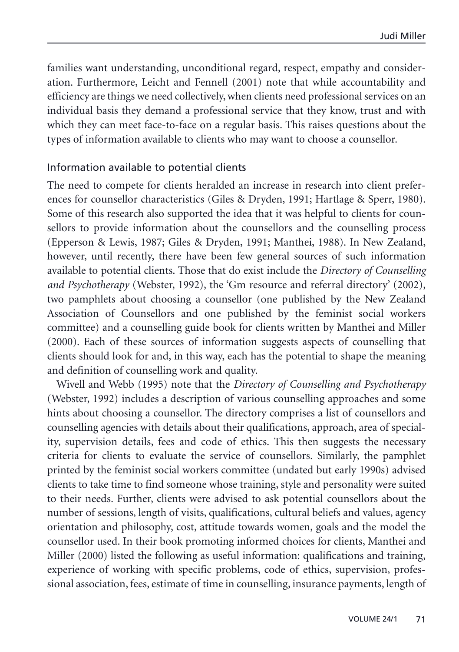families want understanding, unconditional regard, respect, empathy and consideration. Furthermore, Leicht and Fennell (2001) note that while accountability and efficiency are things we need collectively, when clients need professional services on an individual basis they demand a professional service that they know, trust and with which they can meet face-to-face on a regular basis. This raises questions about the types of information available to clients who may want to choose a counsellor.

### Information available to potential clients

The need to compete for clients heralded an increase in research into client preferences for counsellor characteristics (Giles & Dryden, 1991; Hartlage & Sperr, 1980). Some of this research also supported the idea that it was helpful to clients for counsellors to provide information about the counsellors and the counselling process (Epperson & Lewis, 1987; Giles & Dryden, 1991; Manthei, 1988). In New Zealand, however, until recently, there have been few general sources of such information available to potential clients. Those that do exist include the *Directory of Counselling and Psychotherapy* (Webster, 1992), the 'Gm resource and referral directory' (2002), two pamphlets about choosing a counsellor (one published by the New Zealand Association of Counsellors and one published by the feminist social workers committee) and a counselling guide book for clients written by Manthei and Miller (2000). Each of these sources of information suggests aspects of counselling that clients should look for and, in this way, each has the potential to shape the meaning and definition of counselling work and quality.

Wivell and Webb (1995) note that the *Directory of Counselling and Psychotherapy* (Webster, 1992) includes a description of various counselling approaches and some hints about choosing a counsellor. The directory comprises a list of counsellors and counselling agencies with details about their qualifications, approach, area of speciality, supervision details, fees and code of ethics. This then suggests the necessary criteria for clients to evaluate the service of counsellors. Similarly, the pamphlet printed by the feminist social workers committee (undated but early 1990s) advised clients to take time to find someone whose training, style and personality were suited to their needs. Further, clients were advised to ask potential counsellors about the number of sessions, length of visits, qualifications, cultural beliefs and values, agency orientation and philosophy, cost, attitude towards women, goals and the model the counsellor used. In their book promoting informed choices for clients, Manthei and Miller (2000) listed the following as useful information: qualifications and training, experience of working with specific problems, code of ethics, supervision, professional association, fees, estimate of time in counselling, insurance payments, length of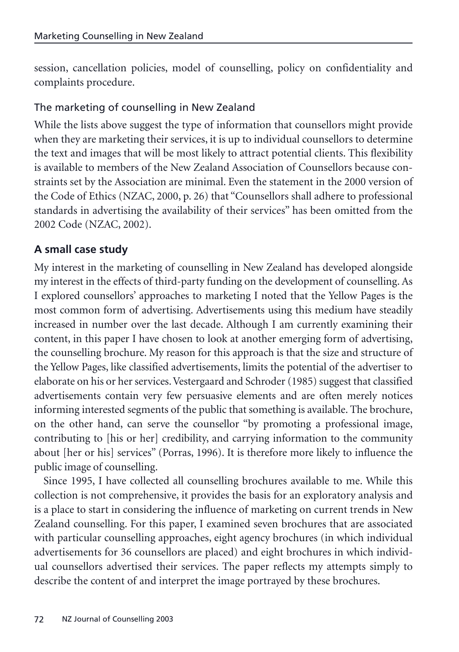session, cancellation policies, model of counselling, policy on confidentiality and complaints procedure.

## The marketing of counselling in New Zealand

While the lists above suggest the type of information that counsellors might provide when they are marketing their services, it is up to individual counsellors to determine the text and images that will be most likely to attract potential clients. This flexibility is available to members of the New Zealand Association of Counsellors because constraints set by the Association are minimal. Even the statement in the 2000 version of the Code of Ethics (NZAC, 2000, p. 26) that "Counsellors shall adhere to professional standards in advertising the availability of their services" has been omitted from the 2002 Code (NZAC, 2002).

## **A small case study**

My interest in the marketing of counselling in New Zealand has developed alongside my interest in the effects of third-party funding on the development of counselling. As I explored counsellors' approaches to marketing I noted that the Yellow Pages is the most common form of advertising. Advertisements using this medium have steadily increased in number over the last decade. Although I am currently examining their content, in this paper I have chosen to look at another emerging form of advertising, the counselling brochure. My reason for this approach is that the size and structure of the Yellow Pages, like classified advertisements, limits the potential of the advertiser to elaborate on his or her services. Vestergaard and Schroder (1985) suggest that classified advertisements contain very few persuasive elements and are often merely notices informing interested segments of the public that something is available. The brochure, on the other hand, can serve the counsellor "by promoting a professional image, contributing to [his or her] credibility, and carrying information to the community about [her or his] services" (Porras, 1996). It is therefore more likely to influence the public image of counselling.

Since 1995, I have collected all counselling brochures available to me. While this collection is not comprehensive, it provides the basis for an exploratory analysis and is a place to start in considering the influence of marketing on current trends in New Zealand counselling. For this paper, I examined seven brochures that are associated with particular counselling approaches, eight agency brochures (in which individual advertisements for 36 counsellors are placed) and eight brochures in which individual counsellors advertised their services. The paper reflects my attempts simply to describe the content of and interpret the image portrayed by these brochures.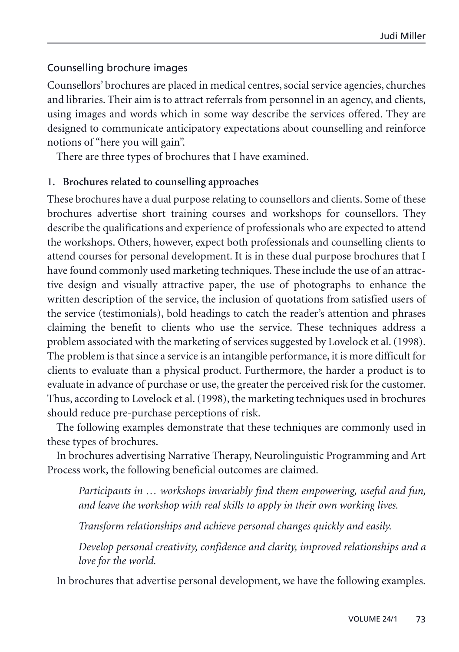## Counselling brochure images

Counsellors' brochures are placed in medical centres, social service agencies, churches and libraries. Their aim is to attract referrals from personnel in an agency, and clients, using images and words which in some way describe the services offered. They are designed to communicate anticipatory expectations about counselling and reinforce notions of "here you will gain".

There are three types of brochures that I have examined.

### **1. Brochures related to counselling approaches**

These brochures have a dual purpose relating to counsellors and clients. Some of these brochures advertise short training courses and workshops for counsellors. They describe the qualifications and experience of professionals who are expected to attend the workshops. Others, however, expect both professionals and counselling clients to attend courses for personal development. It is in these dual purpose brochures that I have found commonly used marketing techniques. These include the use of an attractive design and visually attractive paper, the use of photographs to enhance the written description of the service, the inclusion of quotations from satisfied users of the service (testimonials), bold headings to catch the reader's attention and phrases claiming the benefit to clients who use the service. These techniques address a problem associated with the marketing of services suggested by Lovelock et al. (1998). The problem is that since a service is an intangible performance, it is more difficult for clients to evaluate than a physical product. Furthermore, the harder a product is to evaluate in advance of purchase or use, the greater the perceived risk for the customer. Thus, according to Lovelock et al. (1998), the marketing techniques used in brochures should reduce pre-purchase perceptions of risk.

The following examples demonstrate that these techniques are commonly used in these types of brochures.

In brochures advertising Narrative Therapy, Neurolinguistic Programming and Art Process work, the following beneficial outcomes are claimed.

*Participants in … workshops invariably find them empowering, useful and fun, and leave the workshop with real skills to apply in their own working lives.*

*Transform relationships and achieve personal changes quickly and easily.*

*Develop personal creativity, confidence and clarity, improved relationships and a love for the world.*

In brochures that advertise personal development, we have the following examples.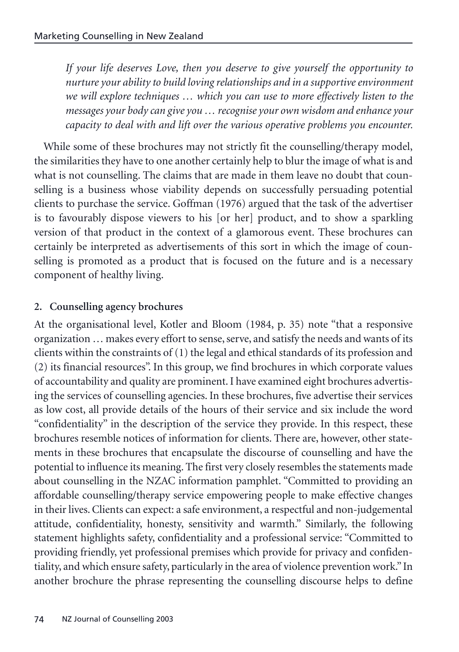*If your life deserves Love, then you deserve to give yourself the opportunity to nurture your ability to build loving relationships and in a supportive environment we will explore techniques … which you can use to more effectively listen to the messages your body can give you … recognise your own wisdom and enhance your capacity to deal with and lift over the various operative problems you encounter.*

While some of these brochures may not strictly fit the counselling/therapy model, the similarities they have to one another certainly help to blur the image of what is and what is not counselling. The claims that are made in them leave no doubt that counselling is a business whose viability depends on successfully persuading potential clients to purchase the service. Goffman (1976) argued that the task of the advertiser is to favourably dispose viewers to his [or her] product, and to show a sparkling version of that product in the context of a glamorous event. These brochures can certainly be interpreted as advertisements of this sort in which the image of counselling is promoted as a product that is focused on the future and is a necessary component of healthy living.

## **2. Counselling agency brochures**

At the organisational level, Kotler and Bloom (1984, p. 35) note "that a responsive organization … makes every effort to sense, serve, and satisfy the needs and wants of its clients within the constraints of (1) the legal and ethical standards of its profession and (2) its financial resources". In this group, we find brochures in which corporate values of accountability and quality are prominent. I have examined eight brochures advertising the services of counselling agencies. In these brochures, five advertise their services as low cost, all provide details of the hours of their service and six include the word "confidentiality" in the description of the service they provide. In this respect, these brochures resemble notices of information for clients. There are, however, other statements in these brochures that encapsulate the discourse of counselling and have the potential to influence its meaning. The first very closely resembles the statements made about counselling in the NZAC information pamphlet. "Committed to providing an affordable counselling/therapy service empowering people to make effective changes in their lives. Clients can expect: a safe environment, a respectful and non-judgemental attitude, confidentiality, honesty, sensitivity and warmth." Similarly, the following statement highlights safety, confidentiality and a professional service: "Committed to providing friendly, yet professional premises which provide for privacy and confidentiality, and which ensure safety, particularly in the area of violence prevention work." In another brochure the phrase representing the counselling discourse helps to define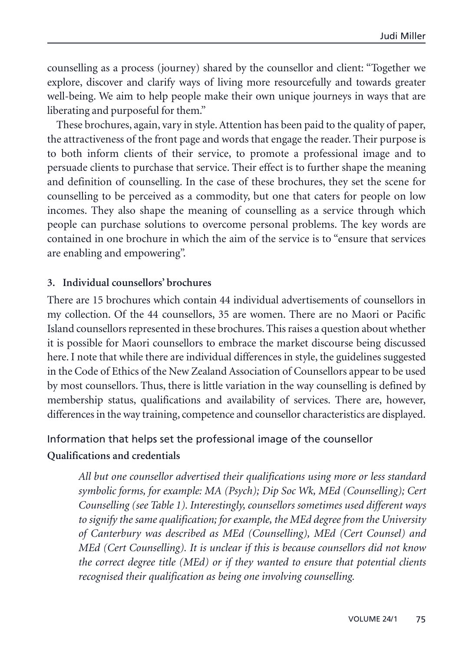counselling as a process (journey) shared by the counsellor and client: "Together we explore, discover and clarify ways of living more resourcefully and towards greater well-being. We aim to help people make their own unique journeys in ways that are liberating and purposeful for them."

These brochures, again, vary in style. Attention has been paid to the quality of paper, the attractiveness of the front page and words that engage the reader. Their purpose is to both inform clients of their service, to promote a professional image and to persuade clients to purchase that service. Their effect is to further shape the meaning and definition of counselling. In the case of these brochures, they set the scene for counselling to be perceived as a commodity, but one that caters for people on low incomes. They also shape the meaning of counselling as a service through which people can purchase solutions to overcome personal problems. The key words are contained in one brochure in which the aim of the service is to "ensure that services are enabling and empowering".

### **3. Individual counsellors' brochures**

There are 15 brochures which contain 44 individual advertisements of counsellors in my collection. Of the 44 counsellors, 35 are women. There are no Maori or Pacific Island counsellors represented in these brochures. This raises a question about whether it is possible for Maori counsellors to embrace the market discourse being discussed here. I note that while there are individual differences in style, the guidelines suggested in the Code of Ethics of the New Zealand Association of Counsellors appear to be used by most counsellors. Thus, there is little variation in the way counselling is defined by membership status, qualifications and availability of services. There are, however, differences in the way training, competence and counsellor characteristics are displayed.

# Information that helps set the professional image of the counsellor **Qualifications and credentials**

*All but one counsellor advertised their qualifications using more or less standard symbolic forms, for example: MA (Psych); Dip Soc Wk, MEd (Counselling); Cert Counselling (see Table 1). Interestingly, counsellors sometimes used different ways to signify the same qualification; for example, the MEd degree from the University of Canterbury was described as MEd (Counselling), MEd (Cert Counsel) and MEd (Cert Counselling). It is unclear if this is because counsellors did not know the correct degree title (MEd) or if they wanted to ensure that potential clients recognised their qualification as being one involving counselling.*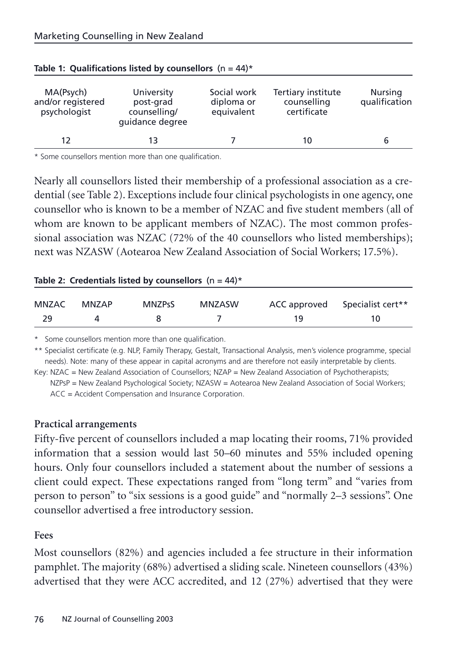| MA(Psych)<br>and/or registered<br>psychologist | University<br>post-grad<br>counselling/<br>quidance degree |  | Tertiary institute<br>counselling<br>certificate | Nursing<br>qualification |
|------------------------------------------------|------------------------------------------------------------|--|--------------------------------------------------|--------------------------|
| 12                                             |                                                            |  | 10                                               |                          |

\* Some counsellors mention more than one qualification.

Nearly all counsellors listed their membership of a professional association as a credential (see Table 2). Exceptions include four clinical psychologists in one agency, one counsellor who is known to be a member of NZAC and five student members (all of whom are known to be applicant members of NZAC). The most common professional association was NZAC (72% of the 40 counsellors who listed memberships); next was NZASW (Aotearoa New Zealand Association of Social Workers; 17.5%).

|  | Table 2: Credentials listed by counsellors $(n = 44)^*$ |  |
|--|---------------------------------------------------------|--|
|  |                                                         |  |

| MNZAC | MNZAP | <b>MNZPsS</b> | MNZASW |     | ACC approved Specialist cert** |
|-------|-------|---------------|--------|-----|--------------------------------|
| 29    |       |               |        | 1 Q |                                |

\* Some counsellors mention more than one qualification.

\*\* Specialist certificate (e.g. NLP, Family Therapy, Gestalt, Transactional Analysis, men's violence programme, special needs). Note: many of these appear in capital acronyms and are therefore not easily interpretable by clients.

Key: NZAC = New Zealand Association of Counsellors; NZAP = New Zealand Association of Psychotherapists;

NZPsP = New Zealand Psychological Society; NZASW = Aotearoa New Zealand Association of Social Workers; ACC = Accident Compensation and Insurance Corporation.

### **Practical arrangements**

Fifty-five percent of counsellors included a map locating their rooms, 71% provided information that a session would last 50–60 minutes and 55% included opening hours. Only four counsellors included a statement about the number of sessions a client could expect. These expectations ranged from "long term" and "varies from person to person" to "six sessions is a good guide" and "normally 2–3 sessions". One counsellor advertised a free introductory session.

### **Fees**

Most counsellors (82%) and agencies included a fee structure in their information pamphlet. The majority (68%) advertised a sliding scale. Nineteen counsellors (43%) advertised that they were ACC accredited, and 12 (27%) advertised that they were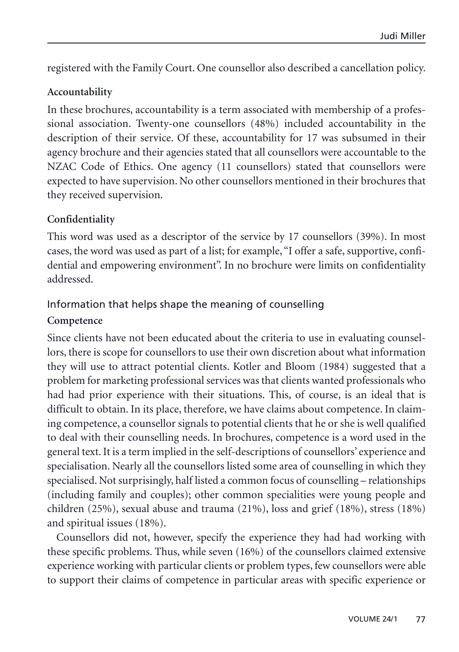registered with the Family Court. One counsellor also described a cancellation policy.

### **Accountability**

In these brochures, accountability is a term associated with membership of a professional association. Twenty-one counsellors (48%) included accountability in the description of their service. Of these, accountability for 17 was subsumed in their agency brochure and their agencies stated that all counsellors were accountable to the NZAC Code of Ethics. One agency (11 counsellors) stated that counsellors were expected to have supervision. No other counsellors mentioned in their brochures that they received supervision.

### **Confidentiality**

This word was used as a descriptor of the service by 17 counsellors (39%). In most cases, the word was used as part of a list; for example, "I offer a safe, supportive, confidential and empowering environment". In no brochure were limits on confidentiality addressed.

## Information that helps shape the meaning of counselling

### **Competence**

Since clients have not been educated about the criteria to use in evaluating counsellors, there is scope for counsellors to use their own discretion about what information they will use to attract potential clients. Kotler and Bloom (1984) suggested that a problem for marketing professional services was that clients wanted professionals who had had prior experience with their situations. This, of course, is an ideal that is difficult to obtain. In its place, therefore, we have claims about competence. In claiming competence, a counsellor signals to potential clients that he or she is well qualified to deal with their counselling needs. In brochures, competence is a word used in the general text. It is a term implied in the self-descriptions of counsellors' experience and specialisation. Nearly all the counsellors listed some area of counselling in which they specialised. Not surprisingly, half listed a common focus of counselling – relationships (including family and couples); other common specialities were young people and children (25%), sexual abuse and trauma (21%), loss and grief (18%), stress (18%) and spiritual issues (18%).

Counsellors did not, however, specify the experience they had had working with these specific problems. Thus, while seven (16%) of the counsellors claimed extensive experience working with particular clients or problem types, few counsellors were able to support their claims of competence in particular areas with specific experience or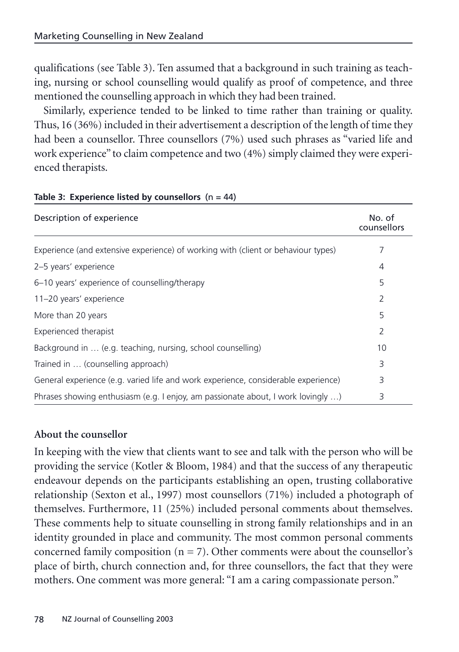qualifications (see Table 3). Ten assumed that a background in such training as teaching, nursing or school counselling would qualify as proof of competence, and three mentioned the counselling approach in which they had been trained.

Similarly, experience tended to be linked to time rather than training or quality. Thus, 16 (36%) included in their advertisement a description of the length of time they had been a counsellor. Three counsellors (7%) used such phrases as "varied life and work experience" to claim competence and two (4%) simply claimed they were experienced therapists.

| Description of experience                                                          | No. of<br>counsellors |
|------------------------------------------------------------------------------------|-----------------------|
| Experience (and extensive experience) of working with (client or behaviour types)  |                       |
| 2-5 years' experience                                                              | 4                     |
| 6-10 years' experience of counselling/therapy                                      | 5                     |
| 11-20 years' experience                                                            | 2                     |
| More than 20 years                                                                 | 5                     |
| Experienced therapist                                                              | 2                     |
| Background in  (e.g. teaching, nursing, school counselling)                        | 10                    |
| Trained in  (counselling approach)                                                 | 3                     |
| General experience (e.g. varied life and work experience, considerable experience) | 3                     |
| Phrases showing enthusiasm (e.g. I enjoy, am passionate about, I work lovingly )   | 3                     |

#### **Table 3: Experience listed by counsellors** (n = 44)

### **About the counsellor**

In keeping with the view that clients want to see and talk with the person who will be providing the service (Kotler & Bloom, 1984) and that the success of any therapeutic endeavour depends on the participants establishing an open, trusting collaborative relationship (Sexton et al., 1997) most counsellors (71%) included a photograph of themselves. Furthermore, 11 (25%) included personal comments about themselves. These comments help to situate counselling in strong family relationships and in an identity grounded in place and community. The most common personal comments concerned family composition  $(n = 7)$ . Other comments were about the counsellor's place of birth, church connection and, for three counsellors, the fact that they were mothers. One comment was more general: "I am a caring compassionate person."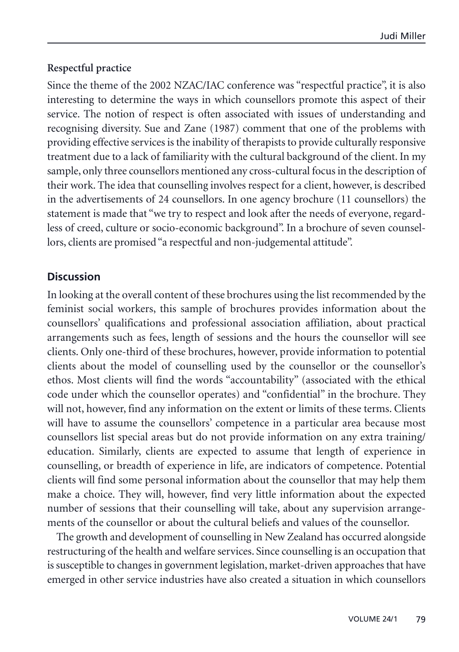## **Respectful practice**

Since the theme of the 2002 NZAC/IAC conference was "respectful practice", it is also interesting to determine the ways in which counsellors promote this aspect of their service. The notion of respect is often associated with issues of understanding and recognising diversity. Sue and Zane (1987) comment that one of the problems with providing effective services is the inability of therapists to provide culturally responsive treatment due to a lack of familiarity with the cultural background of the client. In my sample, only three counsellors mentioned any cross-cultural focus in the description of their work. The idea that counselling involves respect for a client, however, is described in the advertisements of 24 counsellors. In one agency brochure (11 counsellors) the statement is made that "we try to respect and look after the needs of everyone, regardless of creed, culture or socio-economic background". In a brochure of seven counsellors, clients are promised "a respectful and non-judgemental attitude".

### **Discussion**

In looking at the overall content of these brochures using the list recommended by the feminist social workers, this sample of brochures provides information about the counsellors' qualifications and professional association affiliation, about practical arrangements such as fees, length of sessions and the hours the counsellor will see clients. Only one-third of these brochures, however, provide information to potential clients about the model of counselling used by the counsellor or the counsellor's ethos. Most clients will find the words "accountability" (associated with the ethical code under which the counsellor operates) and "confidential" in the brochure. They will not, however, find any information on the extent or limits of these terms. Clients will have to assume the counsellors' competence in a particular area because most counsellors list special areas but do not provide information on any extra training/ education. Similarly, clients are expected to assume that length of experience in counselling, or breadth of experience in life, are indicators of competence. Potential clients will find some personal information about the counsellor that may help them make a choice. They will, however, find very little information about the expected number of sessions that their counselling will take, about any supervision arrangements of the counsellor or about the cultural beliefs and values of the counsellor.

The growth and development of counselling in New Zealand has occurred alongside restructuring of the health and welfare services. Since counselling is an occupation that is susceptible to changes in government legislation, market-driven approaches that have emerged in other service industries have also created a situation in which counsellors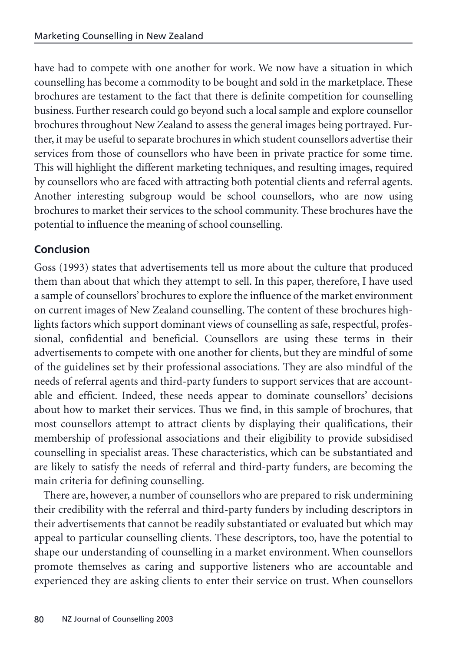have had to compete with one another for work. We now have a situation in which counselling has become a commodity to be bought and sold in the marketplace. These brochures are testament to the fact that there is definite competition for counselling business. Further research could go beyond such a local sample and explore counsellor brochures throughout New Zealand to assess the general images being portrayed. Further, it may be useful to separate brochures in which student counsellors advertise their services from those of counsellors who have been in private practice for some time. This will highlight the different marketing techniques, and resulting images, required by counsellors who are faced with attracting both potential clients and referral agents. Another interesting subgroup would be school counsellors, who are now using brochures to market their services to the school community. These brochures have the potential to influence the meaning of school counselling.

# **Conclusion**

Goss (1993) states that advertisements tell us more about the culture that produced them than about that which they attempt to sell. In this paper, therefore, I have used a sample of counsellors' brochures to explore the influence of the market environment on current images of New Zealand counselling. The content of these brochures highlights factors which support dominant views of counselling as safe, respectful, professional, confidential and beneficial. Counsellors are using these terms in their advertisements to compete with one another for clients, but they are mindful of some of the guidelines set by their professional associations. They are also mindful of the needs of referral agents and third-party funders to support services that are accountable and efficient. Indeed, these needs appear to dominate counsellors' decisions about how to market their services. Thus we find, in this sample of brochures, that most counsellors attempt to attract clients by displaying their qualifications, their membership of professional associations and their eligibility to provide subsidised counselling in specialist areas. These characteristics, which can be substantiated and are likely to satisfy the needs of referral and third-party funders, are becoming the main criteria for defining counselling.

There are, however, a number of counsellors who are prepared to risk undermining their credibility with the referral and third-party funders by including descriptors in their advertisements that cannot be readily substantiated or evaluated but which may appeal to particular counselling clients. These descriptors, too, have the potential to shape our understanding of counselling in a market environment. When counsellors promote themselves as caring and supportive listeners who are accountable and experienced they are asking clients to enter their service on trust. When counsellors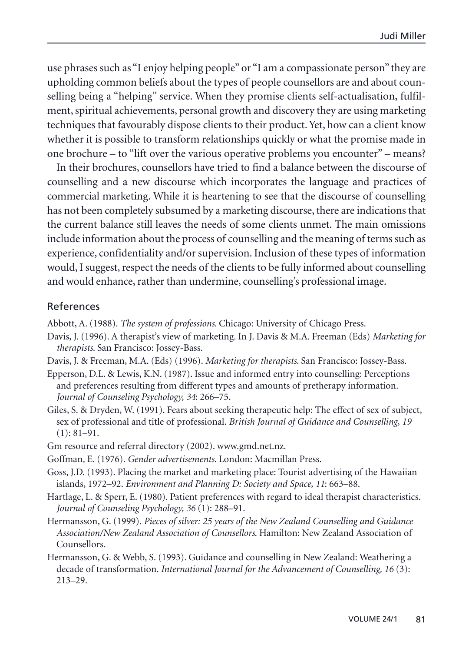use phrases such as "I enjoy helping people" or "I am a compassionate person" they are upholding common beliefs about the types of people counsellors are and about counselling being a "helping" service. When they promise clients self-actualisation, fulfilment, spiritual achievements, personal growth and discovery they are using marketing techniques that favourably dispose clients to their product. Yet, how can a client know whether it is possible to transform relationships quickly or what the promise made in one brochure – to "lift over the various operative problems you encounter" – means?

In their brochures, counsellors have tried to find a balance between the discourse of counselling and a new discourse which incorporates the language and practices of commercial marketing. While it is heartening to see that the discourse of counselling has not been completely subsumed by a marketing discourse, there are indications that the current balance still leaves the needs of some clients unmet. The main omissions include information about the process of counselling and the meaning of terms such as experience, confidentiality and/or supervision. Inclusion of these types of information would, I suggest, respect the needs of the clients to be fully informed about counselling and would enhance, rather than undermine, counselling's professional image.

### References

Abbott, A. (1988). *The system of professions*. Chicago: University of Chicago Press.

- Davis, J. (1996). A therapist's view of marketing. In J. Davis & M.A. Freeman (Eds) *Marketing for therapists*. San Francisco: Jossey-Bass.
- Davis, J. & Freeman, M.A. (Eds) (1996). *Marketing for therapists*. San Francisco: Jossey-Bass.
- Epperson, D.L. & Lewis, K.N. (1987). Issue and informed entry into counselling: Perceptions and preferences resulting from different types and amounts of pretherapy information. *Journal of Counseling Psychology, 34*: 266–75.
- Giles, S. & Dryden, W. (1991). Fears about seeking therapeutic help: The effect of sex of subject, sex of professional and title of professional. *British Journal of Guidance and Counselling, 19*  $(1): 81-91.$
- Gm resource and referral directory (2002). www.gmd.net.nz.
- Goffman, E. (1976). *Gender advertisements*. London: Macmillan Press.
- Goss, J.D. (1993). Placing the market and marketing place: Tourist advertising of the Hawaiian islands, 1972–92. *Environment and Planning D: Society and Space, 11*: 663–88.
- Hartlage, L. & Sperr, E. (1980). Patient preferences with regard to ideal therapist characteristics. *Journal of Counseling Psychology, 36* (1): 288–91.
- Hermansson, G. (1999). *Pieces of silver: 25 years of the New Zealand Counselling and Guidance Association/New Zealand Association of Counsellors*. Hamilton: New Zealand Association of Counsellors.
- Hermansson, G. & Webb, S. (1993). Guidance and counselling in New Zealand: Weathering a decade of transformation. *International Journal for the Advancement of Counselling, 16* (3): 213–29.